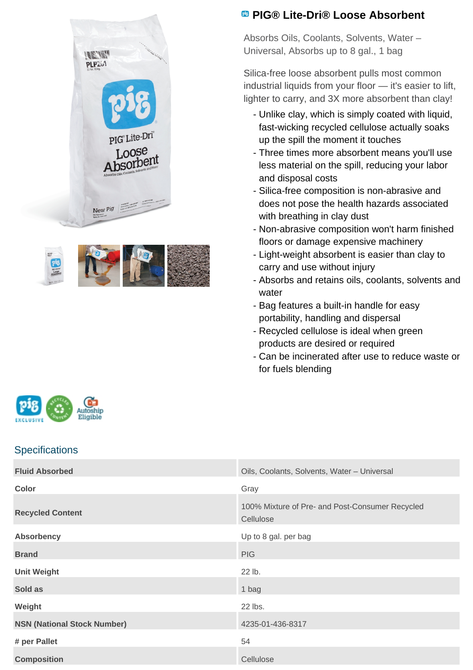



## **PIG® Lite-Dri® Loose Absorbent**

Absorbs Oils, Coolants, Solvents, Water – Universal, Absorbs up to 8 gal., 1 bag

Silica-free loose absorbent pulls most common industrial liquids from your floor — it's easier to lift, lighter to carry, and 3X more absorbent than clay!

- Unlike clay, which is simply coated with liquid, fast-wicking recycled cellulose actually soaks up the spill the moment it touches
- Three times more absorbent means you'll use less material on the spill, reducing your labor and disposal costs
- Silica-free composition is non-abrasive and does not pose the health hazards associated with breathing in clay dust
- Non-abrasive composition won't harm finished floors or damage expensive machinery
- Light-weight absorbent is easier than clay to carry and use without injury
- Absorbs and retains oils, coolants, solvents and water
- Bag features a built-in handle for easy portability, handling and dispersal
- Recycled cellulose is ideal when green products are desired or required
- Can be incinerated after use to reduce waste or for fuels blending



## **Specifications**

| <b>Fluid Absorbed</b>              | Oils, Coolants, Solvents, Water - Universal                  |
|------------------------------------|--------------------------------------------------------------|
| <b>Color</b>                       | Gray                                                         |
| <b>Recycled Content</b>            | 100% Mixture of Pre- and Post-Consumer Recycled<br>Cellulose |
| <b>Absorbency</b>                  | Up to 8 gal. per bag                                         |
| <b>Brand</b>                       | <b>PIG</b>                                                   |
| <b>Unit Weight</b>                 | 22 lb.                                                       |
| Sold as                            | 1 bag                                                        |
| Weight                             | 22 lbs.                                                      |
| <b>NSN (National Stock Number)</b> | 4235-01-436-8317                                             |
| # per Pallet                       | 54                                                           |
| <b>Composition</b>                 | Cellulose                                                    |